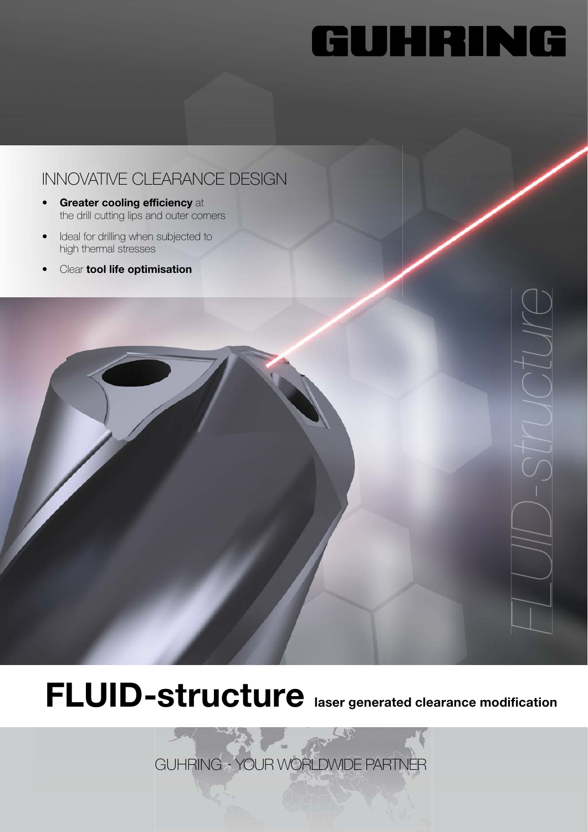# GUHRING

#### INNOVATIVE CLEARANCE DESIGN

- Greater cooling efficiency at the drill cutting lips and outer corners
- Ideal for drilling when subjected to high thermal stresses
- Clear tool life optimisation



## FLUID-structure laser generated clearance modification

GUHRING - YOUR WORLDWIDE PARTNER